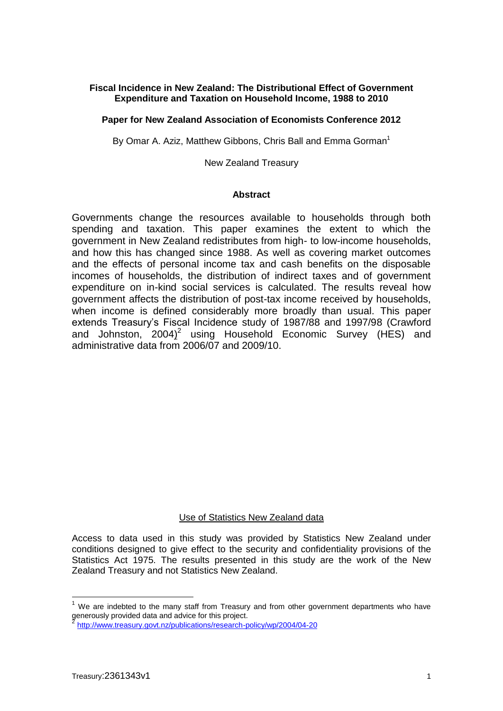# **Fiscal Incidence in New Zealand: The Distributional Effect of Government Expenditure and Taxation on Household Income, 1988 to 2010**

### **Paper for New Zealand Association of Economists Conference 2012**

By Omar A. Aziz, Matthew Gibbons, Chris Ball and Emma Gorman<sup>1</sup>

New Zealand Treasury

### **Abstract**

Governments change the resources available to households through both spending and taxation. This paper examines the extent to which the government in New Zealand redistributes from high- to low-income households, and how this has changed since 1988. As well as covering market outcomes and the effects of personal income tax and cash benefits on the disposable incomes of households, the distribution of indirect taxes and of government expenditure on in-kind social services is calculated. The results reveal how government affects the distribution of post-tax income received by households, when income is defined considerably more broadly than usual. This paper extends Treasury's Fiscal Incidence study of 1987/88 and 1997/98 (Crawford and Johnston,  $2004)^2$  using Household Economic Survey (HES) and administrative data from 2006/07 and 2009/10.

#### Use of Statistics New Zealand data

Access to data used in this study was provided by Statistics New Zealand under conditions designed to give effect to the security and confidentiality provisions of the Statistics Act 1975. The results presented in this study are the work of the New Zealand Treasury and not Statistics New Zealand.

1

We are indebted to the many staff from Treasury and from other government departments who have generously provided data and advice for this project.<br>2 http://www.transury.govt.gr/nublications/research.pr

<http://www.treasury.govt.nz/publications/research-policy/wp/2004/04-20>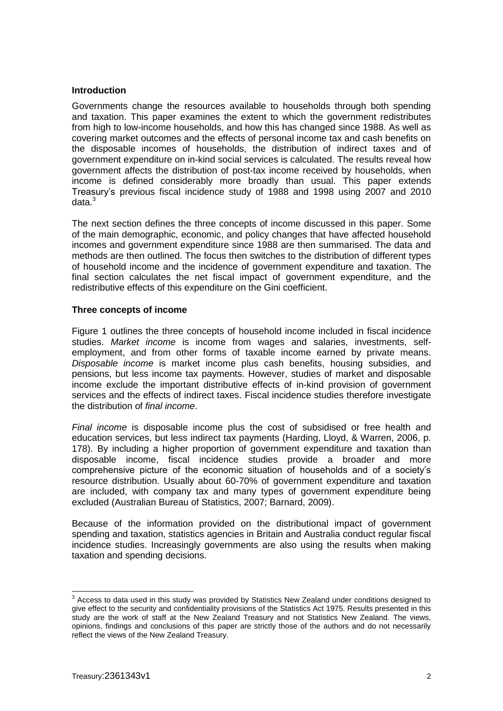### **Introduction**

Governments change the resources available to households through both spending and taxation. This paper examines the extent to which the government redistributes from high to low-income households, and how this has changed since 1988. As well as covering market outcomes and the effects of personal income tax and cash benefits on the disposable incomes of households, the distribution of indirect taxes and of government expenditure on in-kind social services is calculated. The results reveal how government affects the distribution of post-tax income received by households, when income is defined considerably more broadly than usual. This paper extends Treasury's previous fiscal incidence study of 1988 and 1998 using 2007 and 2010 data. 3

The next section defines the three concepts of income discussed in this paper. Some of the main demographic, economic, and policy changes that have affected household incomes and government expenditure since 1988 are then summarised. The data and methods are then outlined. The focus then switches to the distribution of different types of household income and the incidence of government expenditure and taxation. The final section calculates the net fiscal impact of government expenditure, and the redistributive effects of this expenditure on the Gini coefficient.

### **Three concepts of income**

Figure 1 outlines the three concepts of household income included in fiscal incidence studies. *Market income* is income from wages and salaries, investments, selfemployment, and from other forms of taxable income earned by private means. *Disposable income* is market income plus cash benefits, housing subsidies, and pensions, but less income tax payments. However, studies of market and disposable income exclude the important distributive effects of in-kind provision of government services and the effects of indirect taxes. Fiscal incidence studies therefore investigate the distribution of *final income*.

*Final income* is disposable income plus the cost of subsidised or free health and education services, but less indirect tax payments (Harding, Lloyd, & Warren, 2006, p. 178). By including a higher proportion of government expenditure and taxation than disposable income, fiscal incidence studies provide a broader and more comprehensive picture of the economic situation of households and of a society's resource distribution. Usually about 60-70% of government expenditure and taxation are included, with company tax and many types of government expenditure being excluded (Australian Bureau of Statistics, 2007; Barnard, 2009).

Because of the information provided on the distributional impact of government spending and taxation, statistics agencies in Britain and Australia conduct regular fiscal incidence studies. Increasingly governments are also using the results when making taxation and spending decisions.

 3 Access to data used in this study was provided by Statistics New Zealand under conditions designed to give effect to the security and confidentiality provisions of the Statistics Act 1975. Results presented in this study are the work of staff at the New Zealand Treasury and not Statistics New Zealand. The views, opinions, findings and conclusions of this paper are strictly those of the authors and do not necessarily reflect the views of the New Zealand Treasury.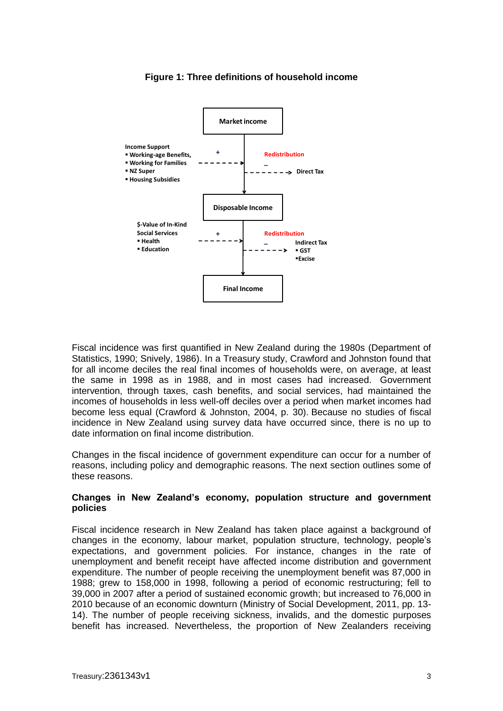

# **Figure 1: Three definitions of household income**

Fiscal incidence was first quantified in New Zealand during the 1980s (Department of Statistics, 1990; Snively, 1986). In a Treasury study, Crawford and Johnston found that for all income deciles the real final incomes of households were, on average, at least the same in 1998 as in 1988, and in most cases had increased. Government intervention, through taxes, cash benefits, and social services, had maintained the incomes of households in less well-off deciles over a period when market incomes had become less equal (Crawford & Johnston, 2004, p. 30). Because no studies of fiscal incidence in New Zealand using survey data have occurred since, there is no up to date information on final income distribution.

Changes in the fiscal incidence of government expenditure can occur for a number of reasons, including policy and demographic reasons. The next section outlines some of these reasons.

### **Changes in New Zealand's economy, population structure and government policies**

Fiscal incidence research in New Zealand has taken place against a background of changes in the economy, labour market, population structure, technology, people's expectations, and government policies. For instance, changes in the rate of unemployment and benefit receipt have affected income distribution and government expenditure. The number of people receiving the unemployment benefit was 87,000 in 1988; grew to 158,000 in 1998, following a period of economic restructuring; fell to 39,000 in 2007 after a period of sustained economic growth; but increased to 76,000 in 2010 because of an economic downturn (Ministry of Social Development, 2011, pp. 13- 14). The number of people receiving sickness, invalids, and the domestic purposes benefit has increased. Nevertheless, the proportion of New Zealanders receiving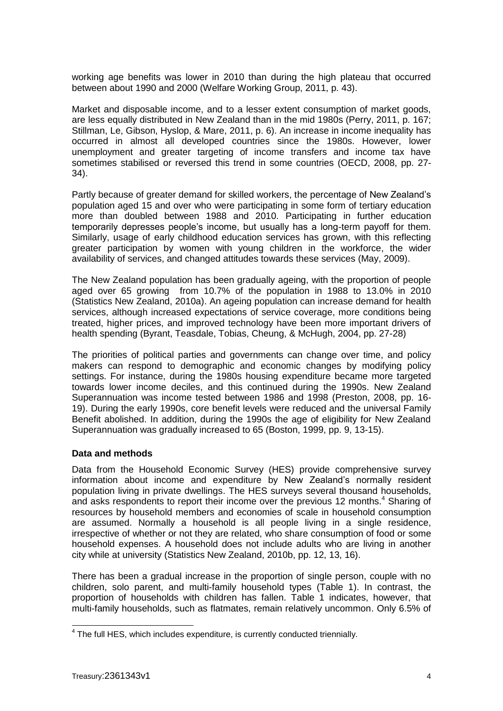working age benefits was lower in 2010 than during the high plateau that occurred between about 1990 and 2000 (Welfare Working Group, 2011, p. 43).

Market and disposable income, and to a lesser extent consumption of market goods, are less equally distributed in New Zealand than in the mid 1980s (Perry, 2011, p. 167; Stillman, Le, Gibson, Hyslop, & Mare, 2011, p. 6). An increase in income inequality has occurred in almost all developed countries since the 1980s. However, lower unemployment and greater targeting of income transfers and income tax have sometimes stabilised or reversed this trend in some countries (OECD, 2008, pp. 27- 34).

Partly because of greater demand for skilled workers, the percentage of New Zealand's population aged 15 and over who were participating in some form of tertiary education more than doubled between 1988 and 2010. Participating in further education temporarily depresses people's income, but usually has a long-term payoff for them. Similarly, usage of early childhood education services has grown, with this reflecting greater participation by women with young children in the workforce, the wider availability of services, and changed attitudes towards these services (May, 2009).

The New Zealand population has been gradually ageing, with the proportion of people aged over 65 growing from 10.7% of the population in 1988 to 13.0% in 2010 (Statistics New Zealand, 2010a). An ageing population can increase demand for health services, although increased expectations of service coverage, more conditions being treated, higher prices, and improved technology have been more important drivers of health spending (Byrant, Teasdale, Tobias, Cheung, & McHugh, 2004, pp. 27-28)

The priorities of political parties and governments can change over time, and policy makers can respond to demographic and economic changes by modifying policy settings. For instance, during the 1980s housing expenditure became more targeted towards lower income deciles, and this continued during the 1990s. New Zealand Superannuation was income tested between 1986 and 1998 (Preston, 2008, pp. 16- 19). During the early 1990s, core benefit levels were reduced and the universal Family Benefit abolished. In addition, during the 1990s the age of eligibility for New Zealand Superannuation was gradually increased to 65 (Boston, 1999, pp. 9, 13-15).

# **Data and methods**

Data from the Household Economic Survey (HES) provide comprehensive survey information about income and expenditure by New Zealand's normally resident population living in private dwellings. The HES surveys several thousand households, and asks respondents to report their income over the previous 12 months.<sup>4</sup> Sharing of resources by household members and economies of scale in household consumption are assumed. Normally a household is all people living in a single residence, irrespective of whether or not they are related, who share consumption of food or some household expenses. A household does not include adults who are living in another city while at university (Statistics New Zealand, 2010b, pp. 12, 13, 16).

There has been a gradual increase in the proportion of single person, couple with no children, solo parent, and multi-family household types (Table 1). In contrast, the proportion of households with children has fallen. Table 1 indicates, however, that multi-family households, such as flatmates, remain relatively uncommon. Only 6.5% of

1

<sup>&</sup>lt;sup>4</sup> The full HES, which includes expenditure, is currently conducted triennially.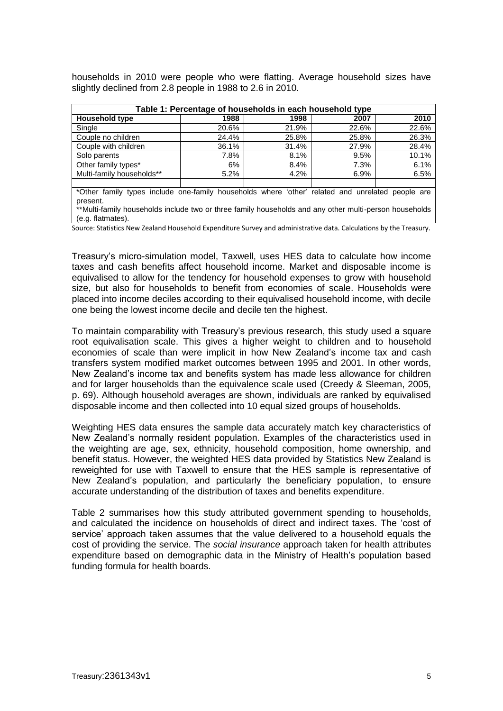households in 2010 were people who were flatting. Average household sizes have slightly declined from 2.8 people in 1988 to 2.6 in 2010.

| Table 1: Percentage of households in each household type |       |       |       |       |  |
|----------------------------------------------------------|-------|-------|-------|-------|--|
| <b>Household type</b>                                    | 1988  | 1998  | 2007  | 2010  |  |
| Single                                                   | 20.6% | 21.9% | 22.6% | 22.6% |  |
| Couple no children                                       | 24.4% | 25.8% | 25.8% | 26.3% |  |
| Couple with children                                     | 36.1% | 31.4% | 27.9% | 28.4% |  |
| Solo parents                                             | 7.8%  | 8.1%  | 9.5%  | 10.1% |  |
| Other family types*                                      | 6%    | 8.4%  | 7.3%  | 6.1%  |  |
| Multi-family households**                                | 5.2%  | 4.2%  | 6.9%  | 6.5%  |  |
|                                                          |       |       |       |       |  |

\*Other family types include one-family households where 'other' related and unrelated people are present.

\*\*Multi-family households include two or three family households and any other multi-person households (e.g. flatmates).

Source: Statistics New Zealand Household Expenditure Survey and administrative data. Calculations by the Treasury.

Treasury's micro-simulation model, Taxwell, uses HES data to calculate how income taxes and cash benefits affect household income. Market and disposable income is equivalised to allow for the tendency for household expenses to grow with household size, but also for households to benefit from economies of scale. Households were placed into income deciles according to their equivalised household income, with decile one being the lowest income decile and decile ten the highest.

To maintain comparability with Treasury's previous research, this study used a square root equivalisation scale. This gives a higher weight to children and to household economies of scale than were implicit in how New Zealand's income tax and cash transfers system modified market outcomes between 1995 and 2001. In other words, New Zealand's income tax and benefits system has made less allowance for children and for larger households than the equivalence scale used (Creedy & Sleeman, 2005, p. 69). Although household averages are shown, individuals are ranked by equivalised disposable income and then collected into 10 equal sized groups of households.

Weighting HES data ensures the sample data accurately match key characteristics of New Zealand's normally resident population. Examples of the characteristics used in the weighting are age, sex, ethnicity, household composition, home ownership, and benefit status. However, the weighted HES data provided by Statistics New Zealand is reweighted for use with Taxwell to ensure that the HES sample is representative of New Zealand's population, and particularly the beneficiary population, to ensure accurate understanding of the distribution of taxes and benefits expenditure.

Table 2 summarises how this study attributed government spending to households, and calculated the incidence on households of direct and indirect taxes. The 'cost of service' approach taken assumes that the value delivered to a household equals the cost of providing the service. The *social insurance* approach taken for health attributes expenditure based on demographic data in the Ministry of Health's population based funding formula for health boards.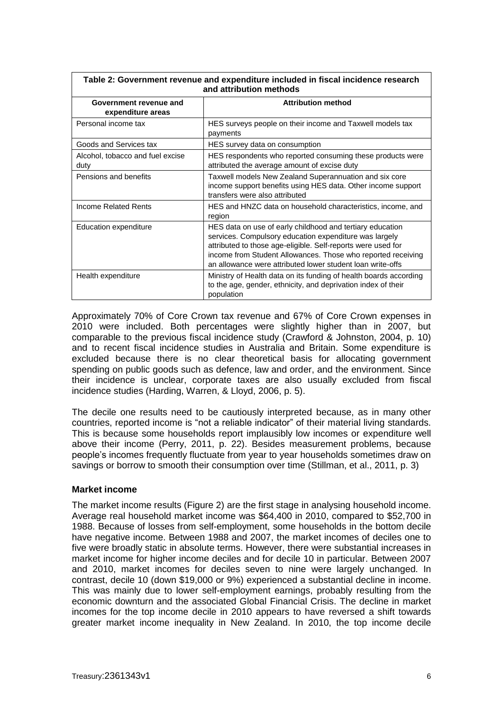| and attribution methods                     |                                                                                                                                                                                                                                                                                                                   |  |  |  |
|---------------------------------------------|-------------------------------------------------------------------------------------------------------------------------------------------------------------------------------------------------------------------------------------------------------------------------------------------------------------------|--|--|--|
| Government revenue and<br>expenditure areas | <b>Attribution method</b>                                                                                                                                                                                                                                                                                         |  |  |  |
| Personal income tax                         | HES surveys people on their income and Taxwell models tax<br>payments                                                                                                                                                                                                                                             |  |  |  |
| Goods and Services tax                      | HES survey data on consumption                                                                                                                                                                                                                                                                                    |  |  |  |
| Alcohol, tobacco and fuel excise<br>duty    | HES respondents who reported consuming these products were<br>attributed the average amount of excise duty                                                                                                                                                                                                        |  |  |  |
| Pensions and benefits                       | Taxwell models New Zealand Superannuation and six core<br>income support benefits using HES data. Other income support<br>transfers were also attributed                                                                                                                                                          |  |  |  |
| Income Related Rents                        | HES and HNZC data on household characteristics, income, and<br>region                                                                                                                                                                                                                                             |  |  |  |
| Education expenditure                       | HES data on use of early childhood and tertiary education<br>services. Compulsory education expenditure was largely<br>attributed to those age-eligible. Self-reports were used for<br>income from Student Allowances. Those who reported receiving<br>an allowance were attributed lower student loan write-offs |  |  |  |
| Health expenditure                          | Ministry of Health data on its funding of health boards according<br>to the age, gender, ethnicity, and deprivation index of their<br>population                                                                                                                                                                  |  |  |  |

**Table 2: Government revenue and expenditure included in fiscal incidence research**

Approximately 70% of Core Crown tax revenue and 67% of Core Crown expenses in 2010 were included. Both percentages were slightly higher than in 2007, but comparable to the previous fiscal incidence study (Crawford & Johnston, 2004, p. 10) and to recent fiscal incidence studies in Australia and Britain. Some expenditure is excluded because there is no clear theoretical basis for allocating government spending on public goods such as defence, law and order, and the environment. Since their incidence is unclear, corporate taxes are also usually excluded from fiscal incidence studies (Harding, Warren, & Lloyd, 2006, p. 5).

The decile one results need to be cautiously interpreted because, as in many other countries, reported income is "not a reliable indicator" of their material living standards. This is because some households report implausibly low incomes or expenditure well above their income (Perry, 2011, p. 22). Besides measurement problems, because people's incomes frequently fluctuate from year to year households sometimes draw on savings or borrow to smooth their consumption over time (Stillman, et al., 2011, p. 3)

# **Market income**

The market income results (Figure 2) are the first stage in analysing household income. Average real household market income was \$64,400 in 2010, compared to \$52,700 in 1988. Because of losses from self-employment, some households in the bottom decile have negative income. Between 1988 and 2007, the market incomes of deciles one to five were broadly static in absolute terms. However, there were substantial increases in market income for higher income deciles and for decile 10 in particular. Between 2007 and 2010, market incomes for deciles seven to nine were largely unchanged. In contrast, decile 10 (down \$19,000 or 9%) experienced a substantial decline in income. This was mainly due to lower self-employment earnings, probably resulting from the economic downturn and the associated Global Financial Crisis. The decline in market incomes for the top income decile in 2010 appears to have reversed a shift towards greater market income inequality in New Zealand. In 2010, the top income decile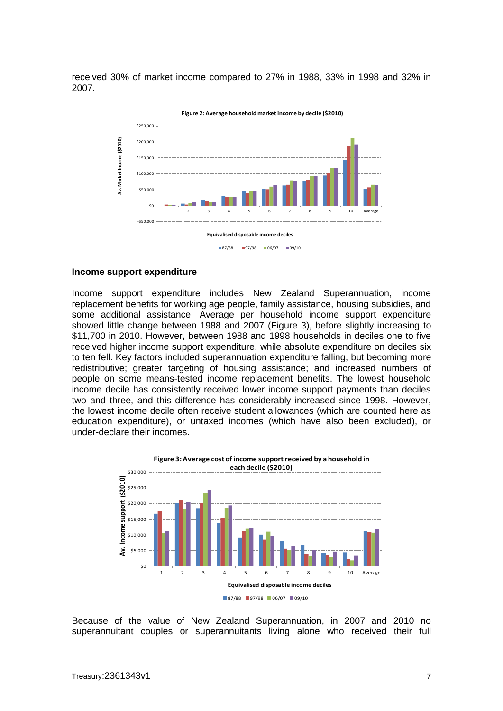received 30% of market income compared to 27% in 1988, 33% in 1998 and 32% in 2007.



#### **Income support expenditure**

Income support expenditure includes New Zealand Superannuation, income replacement benefits for working age people, family assistance, housing subsidies, and some additional assistance. Average per household income support expenditure showed little change between 1988 and 2007 (Figure 3), before slightly increasing to \$11,700 in 2010. However, between 1988 and 1998 households in deciles one to five received higher income support expenditure, while absolute expenditure on deciles six to ten fell. Key factors included superannuation expenditure falling, but becoming more redistributive; greater targeting of housing assistance; and increased numbers of people on some means-tested income replacement benefits. The lowest household income decile has consistently received lower income support payments than deciles two and three, and this difference has considerably increased since 1998. However, the lowest income decile often receive student allowances (which are counted here as education expenditure), or untaxed incomes (which have also been excluded), or under-declare their incomes.



Because of the value of New Zealand Superannuation, in 2007 and 2010 no superannuitant couples or superannuitants living alone who received their full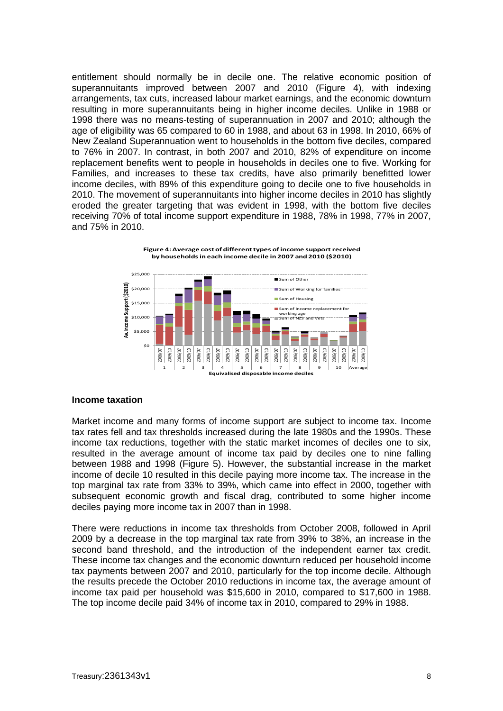entitlement should normally be in decile one. The relative economic position of superannuitants improved between 2007 and 2010 (Figure 4), with indexing arrangements, tax cuts, increased labour market earnings, and the economic downturn resulting in more superannuitants being in higher income deciles. Unlike in 1988 or 1998 there was no means-testing of superannuation in 2007 and 2010; although the age of eligibility was 65 compared to 60 in 1988, and about 63 in 1998. In 2010, 66% of New Zealand Superannuation went to households in the bottom five deciles, compared to 76% in 2007. In contrast, in both 2007 and 2010, 82% of expenditure on income replacement benefits went to people in households in deciles one to five. Working for Families, and increases to these tax credits, have also primarily benefitted lower income deciles, with 89% of this expenditure going to decile one to five households in 2010. The movement of superannuitants into higher income deciles in 2010 has slightly eroded the greater targeting that was evident in 1998, with the bottom five deciles receiving 70% of total income support expenditure in 1988, 78% in 1998, 77% in 2007, and 75% in 2010.





#### **Income taxation**

Market income and many forms of income support are subject to income tax. Income tax rates fell and tax thresholds increased during the late 1980s and the 1990s. These income tax reductions, together with the static market incomes of deciles one to six, resulted in the average amount of income tax paid by deciles one to nine falling between 1988 and 1998 (Figure 5). However, the substantial increase in the market income of decile 10 resulted in this decile paying more income tax. The increase in the top marginal tax rate from 33% to 39%, which came into effect in 2000, together with subsequent economic growth and fiscal drag, contributed to some higher income deciles paying more income tax in 2007 than in 1998.

There were reductions in income tax thresholds from October 2008, followed in April 2009 by a decrease in the top marginal tax rate from 39% to 38%, an increase in the second band threshold, and the introduction of the independent earner tax credit. These income tax changes and the economic downturn reduced per household income tax payments between 2007 and 2010, particularly for the top income decile. Although the results precede the October 2010 reductions in income tax, the average amount of income tax paid per household was \$15,600 in 2010, compared to \$17,600 in 1988. The top income decile paid 34% of income tax in 2010, compared to 29% in 1988.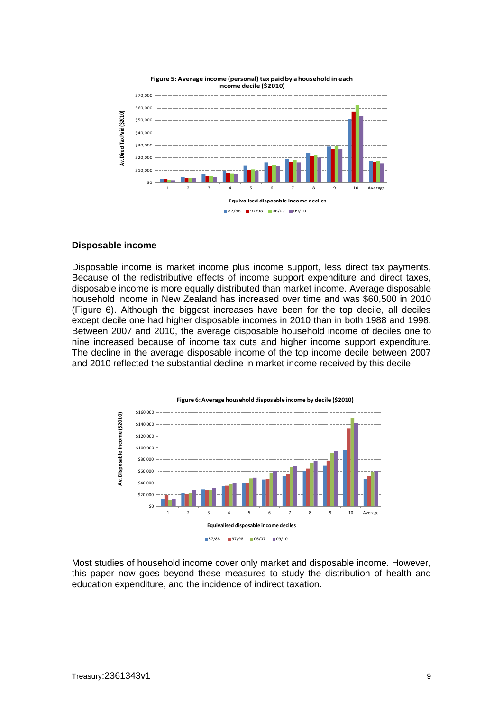

#### **Disposable income**

Disposable income is market income plus income support, less direct tax payments. Because of the redistributive effects of income support expenditure and direct taxes, disposable income is more equally distributed than market income. Average disposable household income in New Zealand has increased over time and was \$60,500 in 2010 (Figure 6). Although the biggest increases have been for the top decile, all deciles except decile one had higher disposable incomes in 2010 than in both 1988 and 1998. Between 2007 and 2010, the average disposable household income of deciles one to nine increased because of income tax cuts and higher income support expenditure. The decline in the average disposable income of the top income decile between 2007 and 2010 reflected the substantial decline in market income received by this decile.



Most studies of household income cover only market and disposable income. However, this paper now goes beyond these measures to study the distribution of health and education expenditure, and the incidence of indirect taxation.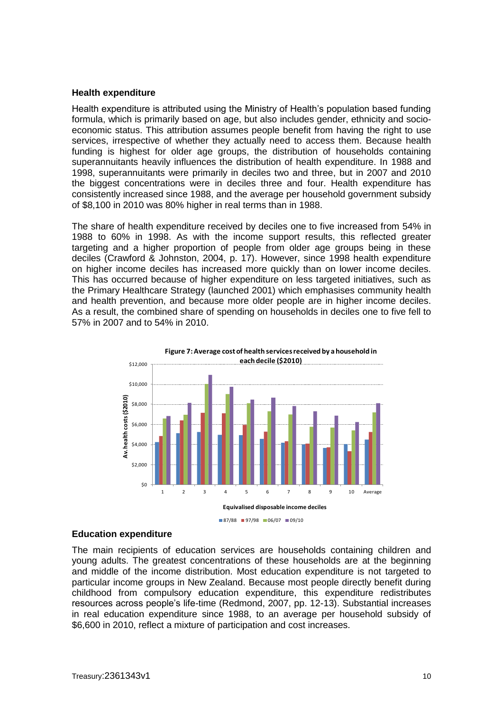#### **Health expenditure**

Health expenditure is attributed using the Ministry of Health's population based funding formula, which is primarily based on age, but also includes gender, ethnicity and socioeconomic status. This attribution assumes people benefit from having the right to use services, irrespective of whether they actually need to access them. Because health funding is highest for older age groups, the distribution of households containing superannuitants heavily influences the distribution of health expenditure. In 1988 and 1998, superannuitants were primarily in deciles two and three, but in 2007 and 2010 the biggest concentrations were in deciles three and four. Health expenditure has consistently increased since 1988, and the average per household government subsidy of \$8,100 in 2010 was 80% higher in real terms than in 1988.

The share of health expenditure received by deciles one to five increased from 54% in 1988 to 60% in 1998. As with the income support results, this reflected greater targeting and a higher proportion of people from older age groups being in these deciles (Crawford & Johnston, 2004, p. 17). However, since 1998 health expenditure on higher income deciles has increased more quickly than on lower income deciles. This has occurred because of higher expenditure on less targeted initiatives, such as the Primary Healthcare Strategy (launched 2001) which emphasises community health and health prevention, and because more older people are in higher income deciles. As a result, the combined share of spending on households in deciles one to five fell to 57% in 2007 and to 54% in 2010.





#### **Education expenditure**

The main recipients of education services are households containing children and young adults. The greatest concentrations of these households are at the beginning and middle of the income distribution. Most education expenditure is not targeted to particular income groups in New Zealand. Because most people directly benefit during childhood from compulsory education expenditure, this expenditure redistributes resources across people's life-time (Redmond, 2007, pp. 12-13). Substantial increases in real education expenditure since 1988, to an average per household subsidy of \$6,600 in 2010, reflect a mixture of participation and cost increases.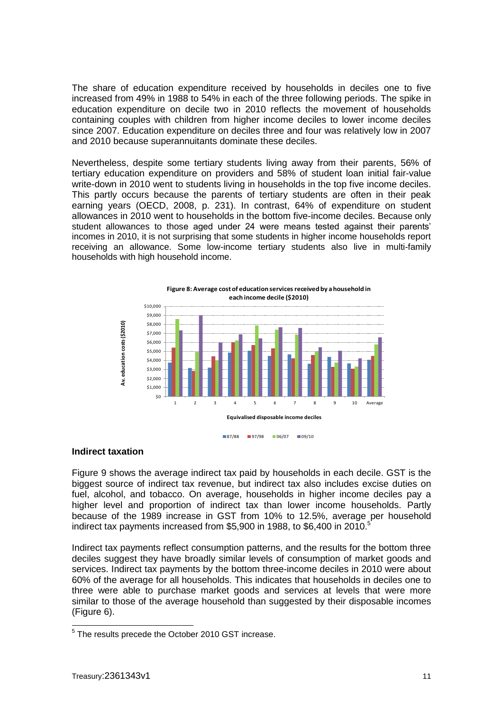The share of education expenditure received by households in deciles one to five increased from 49% in 1988 to 54% in each of the three following periods. The spike in education expenditure on decile two in 2010 reflects the movement of households containing couples with children from higher income deciles to lower income deciles since 2007. Education expenditure on deciles three and four was relatively low in 2007 and 2010 because superannuitants dominate these deciles.

Nevertheless, despite some tertiary students living away from their parents, 56% of tertiary education expenditure on providers and 58% of student loan initial fair-value write-down in 2010 went to students living in households in the top five income deciles. This partly occurs because the parents of tertiary students are often in their peak earning years (OECD, 2008, p. 231). In contrast, 64% of expenditure on student allowances in 2010 went to households in the bottom five-income deciles. Because only student allowances to those aged under 24 were means tested against their parents' incomes in 2010, it is not surprising that some students in higher income households report receiving an allowance. Some low-income tertiary students also live in multi-family households with high household income.

![](_page_10_Figure_2.jpeg)

#### **Indirect taxation**

Figure 9 shows the average indirect tax paid by households in each decile. GST is the biggest source of indirect tax revenue, but indirect tax also includes excise duties on fuel, alcohol, and tobacco. On average, households in higher income deciles pay a higher level and proportion of indirect tax than lower income households. Partly because of the 1989 increase in GST from 10% to 12.5%, average per household indirect tax payments increased from \$5,900 in 1988, to \$6,400 in 2010.

Indirect tax payments reflect consumption patterns, and the results for the bottom three deciles suggest they have broadly similar levels of consumption of market goods and services. Indirect tax payments by the bottom three-income deciles in 2010 were about 60% of the average for all households. This indicates that households in deciles one to three were able to purchase market goods and services at levels that were more similar to those of the average household than suggested by their disposable incomes (Figure 6).

 5 The results precede the October 2010 GST increase.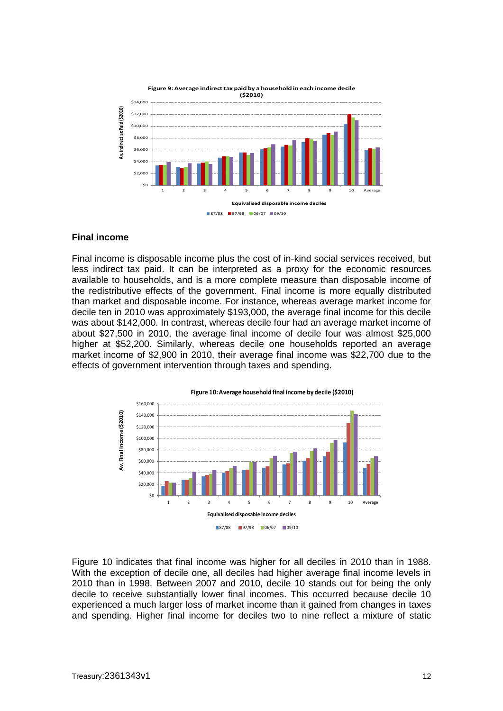![](_page_11_Figure_0.jpeg)

#### **Final income**

Final income is disposable income plus the cost of in-kind social services received, but less indirect tax paid. It can be interpreted as a proxy for the economic resources available to households, and is a more complete measure than disposable income of the redistributive effects of the government. Final income is more equally distributed than market and disposable income. For instance, whereas average market income for decile ten in 2010 was approximately \$193,000, the average final income for this decile was about \$142,000. In contrast, whereas decile four had an average market income of about \$27,500 in 2010, the average final income of decile four was almost \$25,000 higher at \$52,200. Similarly, whereas decile one households reported an average market income of \$2,900 in 2010, their average final income was \$22,700 due to the effects of government intervention through taxes and spending.

![](_page_11_Figure_3.jpeg)

Figure 10 indicates that final income was higher for all deciles in 2010 than in 1988. With the exception of decile one, all deciles had higher average final income levels in 2010 than in 1998. Between 2007 and 2010, decile 10 stands out for being the only decile to receive substantially lower final incomes. This occurred because decile 10 experienced a much larger loss of market income than it gained from changes in taxes and spending. Higher final income for deciles two to nine reflect a mixture of static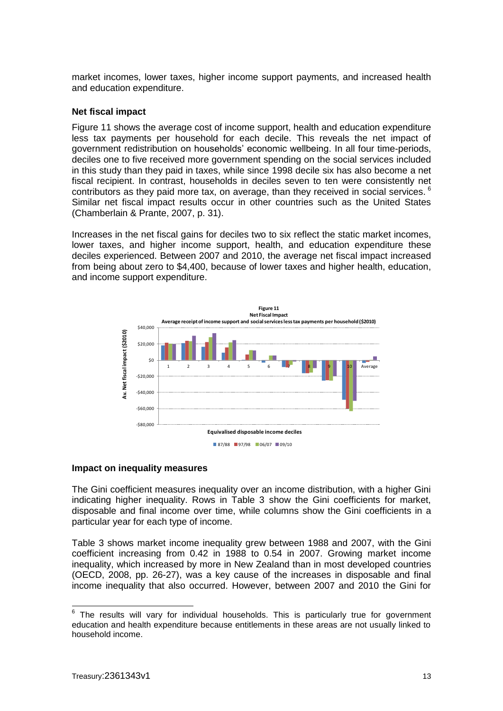market incomes, lower taxes, higher income support payments, and increased health and education expenditure.

# **Net fiscal impact**

Figure 11 shows the average cost of income support, health and education expenditure less tax payments per household for each decile. This reveals the net impact of government redistribution on households' economic wellbeing. In all four time-periods, deciles one to five received more government spending on the social services included in this study than they paid in taxes, while since 1998 decile six has also become a net fiscal recipient. In contrast, households in deciles seven to ten were consistently net contributors as they paid more tax, on average, than they received in social services.  $6$ Similar net fiscal impact results occur in other countries such as the United States (Chamberlain & Prante, 2007, p. 31).

Increases in the net fiscal gains for deciles two to six reflect the static market incomes, lower taxes, and higher income support, health, and education expenditure these deciles experienced. Between 2007 and 2010, the average net fiscal impact increased from being about zero to \$4,400, because of lower taxes and higher health, education, and income support expenditure.

![](_page_12_Figure_4.jpeg)

#### **Impact on inequality measures**

The Gini coefficient measures inequality over an income distribution, with a higher Gini indicating higher inequality. Rows in Table 3 show the Gini coefficients for market, disposable and final income over time, while columns show the Gini coefficients in a particular year for each type of income.

Table 3 shows market income inequality grew between 1988 and 2007, with the Gini coefficient increasing from 0.42 in 1988 to 0.54 in 2007. Growing market income inequality, which increased by more in New Zealand than in most developed countries (OECD, 2008, pp. 26-27), was a key cause of the increases in disposable and final income inequality that also occurred. However, between 2007 and 2010 the Gini for

<sup>-&</sup>lt;br>6 The results will vary for individual households. This is particularly true for government education and health expenditure because entitlements in these areas are not usually linked to household income.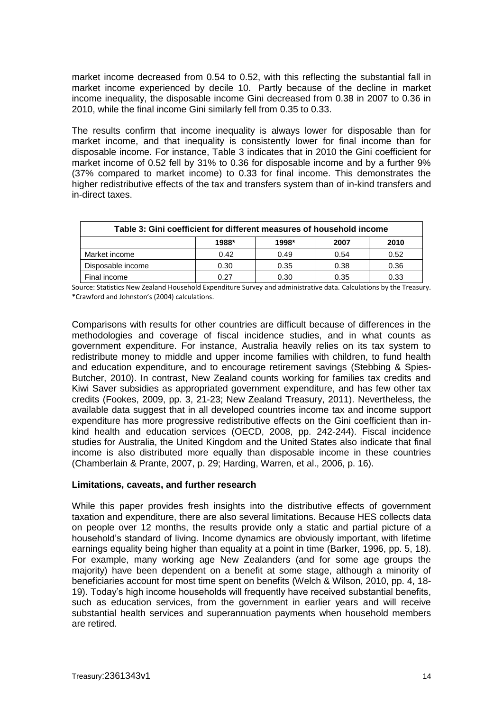market income decreased from 0.54 to 0.52, with this reflecting the substantial fall in market income experienced by decile 10. Partly because of the decline in market income inequality, the disposable income Gini decreased from 0.38 in 2007 to 0.36 in 2010, while the final income Gini similarly fell from 0.35 to 0.33.

The results confirm that income inequality is always lower for disposable than for market income, and that inequality is consistently lower for final income than for disposable income. For instance, Table 3 indicates that in 2010 the Gini coefficient for market income of 0.52 fell by 31% to 0.36 for disposable income and by a further 9% (37% compared to market income) to 0.33 for final income. This demonstrates the higher redistributive effects of the tax and transfers system than of in-kind transfers and in-direct taxes.

| Table 3: Gini coefficient for different measures of household income |       |       |      |      |  |  |
|----------------------------------------------------------------------|-------|-------|------|------|--|--|
|                                                                      | 1988* | 1998* | 2007 | 2010 |  |  |
| Market income                                                        | 0.42  | 0.49  | 0.54 | 0.52 |  |  |
| Disposable income                                                    | 0.30  | 0.35  | 0.38 | 0.36 |  |  |
| Final income                                                         | 0.27  | 0.30  | 0.35 | 0.33 |  |  |

Source: Statistics New Zealand Household Expenditure Survey and administrative data. Calculations by the Treasury. \*Crawford and Johnston's (2004) calculations.

Comparisons with results for other countries are difficult because of differences in the methodologies and coverage of fiscal incidence studies, and in what counts as government expenditure. For instance, Australia heavily relies on its tax system to redistribute money to middle and upper income families with children, to fund health and education expenditure, and to encourage retirement savings (Stebbing & Spies-Butcher, 2010). In contrast, New Zealand counts working for families tax credits and Kiwi Saver subsidies as appropriated government expenditure, and has few other tax credits (Fookes, 2009, pp. 3, 21-23; New Zealand Treasury, 2011). Nevertheless, the available data suggest that in all developed countries income tax and income support expenditure has more progressive redistributive effects on the Gini coefficient than inkind health and education services (OECD, 2008, pp. 242-244). Fiscal incidence studies for Australia, the United Kingdom and the United States also indicate that final income is also distributed more equally than disposable income in these countries (Chamberlain & Prante, 2007, p. 29; Harding, Warren, et al., 2006, p. 16).

# **Limitations, caveats, and further research**

While this paper provides fresh insights into the distributive effects of government taxation and expenditure, there are also several limitations. Because HES collects data on people over 12 months, the results provide only a static and partial picture of a household's standard of living. Income dynamics are obviously important, with lifetime earnings equality being higher than equality at a point in time (Barker, 1996, pp. 5, 18). For example, many working age New Zealanders (and for some age groups the majority) have been dependent on a benefit at some stage, although a minority of beneficiaries account for most time spent on benefits (Welch & Wilson, 2010, pp. 4, 18- 19). Today's high income households will frequently have received substantial benefits, such as education services, from the government in earlier years and will receive substantial health services and superannuation payments when household members are retired.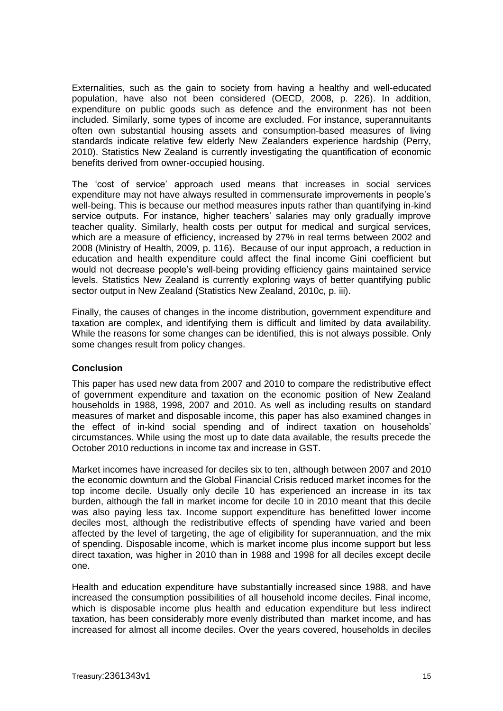Externalities, such as the gain to society from having a healthy and well-educated population, have also not been considered (OECD, 2008, p. 226). In addition, expenditure on public goods such as defence and the environment has not been included. Similarly, some types of income are excluded. For instance, superannuitants often own substantial housing assets and consumption-based measures of living standards indicate relative few elderly New Zealanders experience hardship (Perry, 2010). Statistics New Zealand is currently investigating the quantification of economic benefits derived from owner-occupied housing.

The 'cost of service' approach used means that increases in social services expenditure may not have always resulted in commensurate improvements in people's well-being. This is because our method measures inputs rather than quantifying in-kind service outputs. For instance, higher teachers' salaries may only gradually improve teacher quality. Similarly, health costs per output for medical and surgical services, which are a measure of efficiency, increased by 27% in real terms between 2002 and 2008 (Ministry of Health, 2009, p. 116). Because of our input approach, a reduction in education and health expenditure could affect the final income Gini coefficient but would not decrease people's well-being providing efficiency gains maintained service levels. Statistics New Zealand is currently exploring ways of better quantifying public sector output in New Zealand (Statistics New Zealand, 2010c, p. iii).

Finally, the causes of changes in the income distribution, government expenditure and taxation are complex, and identifying them is difficult and limited by data availability. While the reasons for some changes can be identified, this is not always possible. Only some changes result from policy changes.

# **Conclusion**

This paper has used new data from 2007 and 2010 to compare the redistributive effect of government expenditure and taxation on the economic position of New Zealand households in 1988, 1998, 2007 and 2010. As well as including results on standard measures of market and disposable income, this paper has also examined changes in the effect of in-kind social spending and of indirect taxation on households' circumstances. While using the most up to date data available, the results precede the October 2010 reductions in income tax and increase in GST.

Market incomes have increased for deciles six to ten, although between 2007 and 2010 the economic downturn and the Global Financial Crisis reduced market incomes for the top income decile. Usually only decile 10 has experienced an increase in its tax burden, although the fall in market income for decile 10 in 2010 meant that this decile was also paying less tax. Income support expenditure has benefitted lower income deciles most, although the redistributive effects of spending have varied and been affected by the level of targeting, the age of eligibility for superannuation, and the mix of spending. Disposable income, which is market income plus income support but less direct taxation, was higher in 2010 than in 1988 and 1998 for all deciles except decile one.

Health and education expenditure have substantially increased since 1988, and have increased the consumption possibilities of all household income deciles. Final income, which is disposable income plus health and education expenditure but less indirect taxation, has been considerably more evenly distributed than market income, and has increased for almost all income deciles. Over the years covered, households in deciles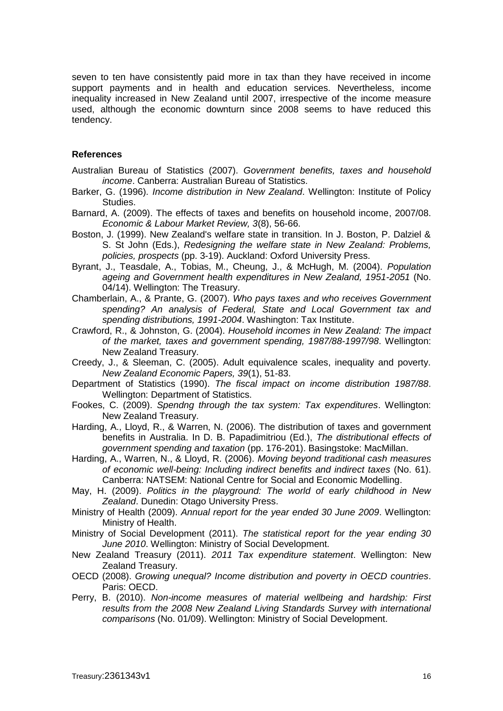seven to ten have consistently paid more in tax than they have received in income support payments and in health and education services. Nevertheless, income inequality increased in New Zealand until 2007, irrespective of the income measure used, although the economic downturn since 2008 seems to have reduced this tendency.

### **References**

- Australian Bureau of Statistics (2007). *Government benefits, taxes and household income*. Canberra: Australian Bureau of Statistics.
- Barker, G. (1996). *Income distribution in New Zealand*. Wellington: Institute of Policy Studies.
- Barnard, A. (2009). The effects of taxes and benefits on household income, 2007/08. *Economic & Labour Market Review, 3*(8), 56-66.
- Boston, J. (1999). New Zealand's welfare state in transition. In J. Boston, P. Dalziel & S. St John (Eds.), *Redesigning the welfare state in New Zealand: Problems, policies, prospects* (pp. 3-19). Auckland: Oxford University Press.
- Byrant, J., Teasdale, A., Tobias, M., Cheung, J., & McHugh, M. (2004). *Population ageing and Government health expenditures in New Zealand, 1951-2051* (No. 04/14). Wellington: The Treasury.
- Chamberlain, A., & Prante, G. (2007). *Who pays taxes and who receives Government spending? An analysis of Federal, State and Local Government tax and spending distributions, 1991-2004*. Washington: Tax Institute.
- Crawford, R., & Johnston, G. (2004). *Household incomes in New Zealand: The impact of the market, taxes and government spending, 1987/88-1997/98*. Wellington: New Zealand Treasury.
- Creedy, J., & Sleeman, C. (2005). Adult equivalence scales, inequality and poverty. *New Zealand Economic Papers, 39*(1), 51-83.
- Department of Statistics (1990). *The fiscal impact on income distribution 1987/88*. Wellington: Department of Statistics.
- Fookes, C. (2009). *Spendng through the tax system: Tax expenditures*. Wellington: New Zealand Treasury.
- Harding, A., Lloyd, R., & Warren, N. (2006). The distribution of taxes and government benefits in Australia. In D. B. Papadimitriou (Ed.), *The distributional effects of government spending and taxation* (pp. 176-201). Basingstoke: MacMillan.
- Harding, A., Warren, N., & Lloyd, R. (2006). *Moving beyond traditional cash measures of economic well-being: Including indirect benefits and indirect taxes* (No. 61). Canberra: NATSEM: National Centre for Social and Economic Modelling.
- May, H. (2009). *Politics in the playground: The world of early childhood in New Zealand*. Dunedin: Otago University Press.
- Ministry of Health (2009). *Annual report for the year ended 30 June 2009*. Wellington: Ministry of Health.
- Ministry of Social Development (2011). *The statistical report for the year ending 30 June 2010*. Wellington: Ministry of Social Development.
- New Zealand Treasury (2011). *2011 Tax expenditure statement*. Wellington: New Zealand Treasury.
- OECD (2008). *Growing unequal? Income distribution and poverty in OECD countries*. Paris: OECD.
- Perry, B. (2010). *Non-income measures of material wellbeing and hardship: First results from the 2008 New Zealand Living Standards Survey with international comparisons* (No. 01/09). Wellington: Ministry of Social Development.